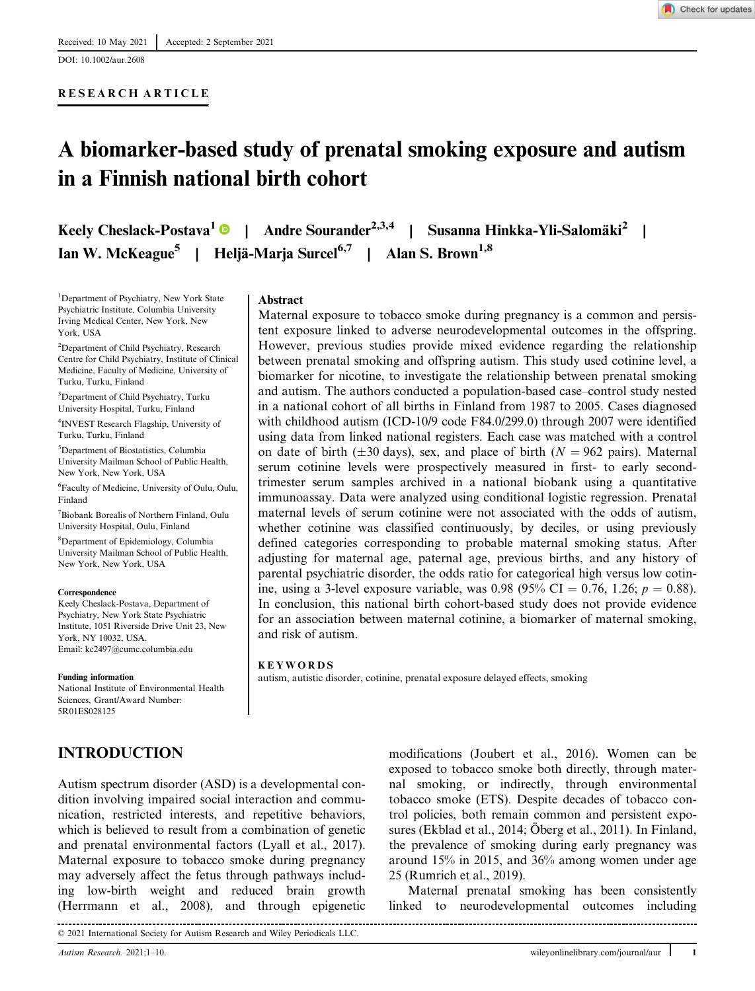DOI: 10.1002/aur.2608

## RESEARCH ARTICLE

# A biomarker-based study of prenatal smoking exposure and autism in a Finnish national birth cohort

Keely Cheslack-Postava<sup>1</sup> | Andre Sourander<sup>2,3,4</sup> | Susanna Hinkka-Yli-Salomäki<sup>2</sup> | Ian W. McKeague<sup>5</sup> | Heljä-Marja Surcel<sup>6,7</sup> | Alan S. Brown<sup>1,8</sup>

1 Department of Psychiatry, New York State Psychiatric Institute, Columbia University Irving Medical Center, New York, New York, USA

2 Department of Child Psychiatry, Research Centre for Child Psychiatry, Institute of Clinical Medicine, Faculty of Medicine, University of Turku, Turku, Finland

3 Department of Child Psychiatry, Turku University Hospital, Turku, Finland

4 INVEST Research Flagship, University of Turku, Turku, Finland

5 Department of Biostatistics, Columbia University Mailman School of Public Health, New York, New York, USA

6 Faculty of Medicine, University of Oulu, Oulu, Finland

7 Biobank Borealis of Northern Finland, Oulu University Hospital, Oulu, Finland

8 Department of Epidemiology, Columbia University Mailman School of Public Health, New York, New York, USA

#### **Correspondence**

Keely Cheslack-Postava, Department of Psychiatry, New York State Psychiatric Institute, 1051 Riverside Drive Unit 23, New York, NY 10032, USA. Email: [kc2497@cumc.columbia.edu](mailto:kc2497@cumc.columbia.edu)

#### Funding information

National Institute of Environmental Health Sciences, Grant/Award Number: 5R01ES028125

# INTRODUCTION

**Abstract** 

Maternal exposure to tobacco smoke during pregnancy is a common and persistent exposure linked to adverse neurodevelopmental outcomes in the offspring. However, previous studies provide mixed evidence regarding the relationship between prenatal smoking and offspring autism. This study used cotinine level, a biomarker for nicotine, to investigate the relationship between prenatal smoking and autism. The authors conducted a population-based case–control study nested in a national cohort of all births in Finland from 1987 to 2005. Cases diagnosed with childhood autism (ICD-10/9 code F84.0/299.0) through 2007 were identified using data from linked national registers. Each case was matched with a control on date of birth ( $\pm 30$  days), sex, and place of birth ( $N = 962$  pairs). Maternal serum cotinine levels were prospectively measured in first- to early secondtrimester serum samples archived in a national biobank using a quantitative immunoassay. Data were analyzed using conditional logistic regression. Prenatal maternal levels of serum cotinine were not associated with the odds of autism, whether cotinine was classified continuously, by deciles, or using previously defined categories corresponding to probable maternal smoking status. After adjusting for maternal age, paternal age, previous births, and any history of parental psychiatric disorder, the odds ratio for categorical high versus low cotinine, using a 3-level exposure variable, was 0.98 (95% CI = 0.76, 1.26;  $p = 0.88$ ). In conclusion, this national birth cohort-based study does not provide evidence for an association between maternal cotinine, a biomarker of maternal smoking, and risk of autism.

#### KEYWORDS

autism, autistic disorder, cotinine, prenatal exposure delayed effects, smoking

Autism spectrum disorder (ASD) is a developmental condition involving impaired social interaction and communication, restricted interests, and repetitive behaviors, which is believed to result from a combination of genetic and prenatal environmental factors (Lyall et al., 2017). Maternal exposure to tobacco smoke during pregnancy may adversely affect the fetus through pathways including low-birth weight and reduced brain growth (Herrmann et al., 2008), and through epigenetic

© 2021 International Society for Autism Research and Wiley Periodicals LLC. modifications (Joubert et al., 2016). Women can be exposed to tobacco smoke both directly, through maternal smoking, or indirectly, through environmental tobacco smoke (ETS). Despite decades of tobacco control policies, both remain common and persistent exposures (Ekblad et al., 2014; Öberg et al., 2011). In Finland, the prevalence of smoking during early pregnancy was around 15% in 2015, and 36% among women under age 25 (Rumrich et al., 2019).

Maternal prenatal smoking has been consistently linked to neurodevelopmental outcomes including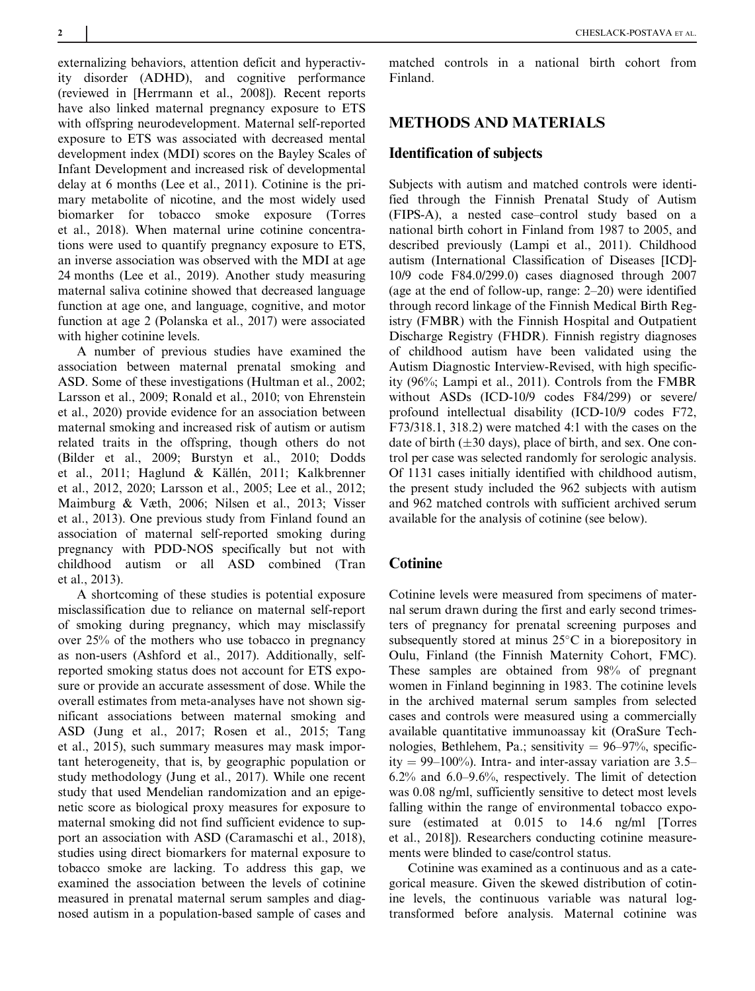externalizing behaviors, attention deficit and hyperactivity disorder (ADHD), and cognitive performance (reviewed in [Herrmann et al., 2008]). Recent reports have also linked maternal pregnancy exposure to ETS with offspring neurodevelopment. Maternal self-reported exposure to ETS was associated with decreased mental development index (MDI) scores on the Bayley Scales of Infant Development and increased risk of developmental delay at 6 months (Lee et al., 2011). Cotinine is the primary metabolite of nicotine, and the most widely used biomarker for tobacco smoke exposure (Torres et al., 2018). When maternal urine cotinine concentrations were used to quantify pregnancy exposure to ETS, an inverse association was observed with the MDI at age 24 months (Lee et al., 2019). Another study measuring maternal saliva cotinine showed that decreased language function at age one, and language, cognitive, and motor function at age 2 (Polanska et al., 2017) were associated with higher cotinine levels.

A number of previous studies have examined the association between maternal prenatal smoking and ASD. Some of these investigations (Hultman et al., 2002; Larsson et al., 2009; Ronald et al., 2010; von Ehrenstein et al., 2020) provide evidence for an association between maternal smoking and increased risk of autism or autism related traits in the offspring, though others do not (Bilder et al., 2009; Burstyn et al., 2010; Dodds et al., 2011; Haglund & Källén, 2011; Kalkbrenner et al., 2012, 2020; Larsson et al., 2005; Lee et al., 2012; Maimburg & Væth, 2006; Nilsen et al., 2013; Visser et al., 2013). One previous study from Finland found an association of maternal self-reported smoking during pregnancy with PDD-NOS specifically but not with childhood autism or all ASD combined (Tran et al., 2013).

A shortcoming of these studies is potential exposure misclassification due to reliance on maternal self-report of smoking during pregnancy, which may misclassify over 25% of the mothers who use tobacco in pregnancy as non-users (Ashford et al., 2017). Additionally, selfreported smoking status does not account for ETS exposure or provide an accurate assessment of dose. While the overall estimates from meta-analyses have not shown significant associations between maternal smoking and ASD (Jung et al., 2017; Rosen et al., 2015; Tang et al., 2015), such summary measures may mask important heterogeneity, that is, by geographic population or study methodology (Jung et al., 2017). While one recent study that used Mendelian randomization and an epigenetic score as biological proxy measures for exposure to maternal smoking did not find sufficient evidence to support an association with ASD (Caramaschi et al., 2018), studies using direct biomarkers for maternal exposure to tobacco smoke are lacking. To address this gap, we examined the association between the levels of cotinine measured in prenatal maternal serum samples and diagnosed autism in a population-based sample of cases and matched controls in a national birth cohort from Finland.

# METHODS AND MATERIALS

#### Identification of subjects

Subjects with autism and matched controls were identified through the Finnish Prenatal Study of Autism (FIPS-A), a nested case–control study based on a national birth cohort in Finland from 1987 to 2005, and described previously (Lampi et al., 2011). Childhood autism (International Classification of Diseases [ICD]- 10/9 code F84.0/299.0) cases diagnosed through 2007 (age at the end of follow-up, range: 2–20) were identified through record linkage of the Finnish Medical Birth Registry (FMBR) with the Finnish Hospital and Outpatient Discharge Registry (FHDR). Finnish registry diagnoses of childhood autism have been validated using the Autism Diagnostic Interview-Revised, with high specificity (96%; Lampi et al., 2011). Controls from the FMBR without ASDs (ICD-10/9 codes F84/299) or severe/ profound intellectual disability (ICD-10/9 codes F72, F73/318.1, 318.2) were matched 4:1 with the cases on the date of birth  $(\pm 30 \text{ days})$ , place of birth, and sex. One control per case was selected randomly for serologic analysis. Of 1131 cases initially identified with childhood autism, the present study included the 962 subjects with autism and 962 matched controls with sufficient archived serum available for the analysis of cotinine (see below).

## **Cotinine**

Cotinine levels were measured from specimens of maternal serum drawn during the first and early second trimesters of pregnancy for prenatal screening purposes and subsequently stored at minus  $25^{\circ}$ C in a biorepository in Oulu, Finland (the Finnish Maternity Cohort, FMC). These samples are obtained from 98% of pregnant women in Finland beginning in 1983. The cotinine levels in the archived maternal serum samples from selected cases and controls were measured using a commercially available quantitative immunoassay kit (OraSure Technologies, Bethlehem, Pa.; sensitivity  $= 96-97\%$ , specificity  $= 99-100\%$ ). Intra- and inter-assay variation are 3.5– 6.2% and 6.0–9.6%, respectively. The limit of detection was 0.08 ng/ml, sufficiently sensitive to detect most levels falling within the range of environmental tobacco exposure (estimated at 0.015 to 14.6 ng/ml [Torres et al., 2018]). Researchers conducting cotinine measurements were blinded to case/control status.

Cotinine was examined as a continuous and as a categorical measure. Given the skewed distribution of cotinine levels, the continuous variable was natural logtransformed before analysis. Maternal cotinine was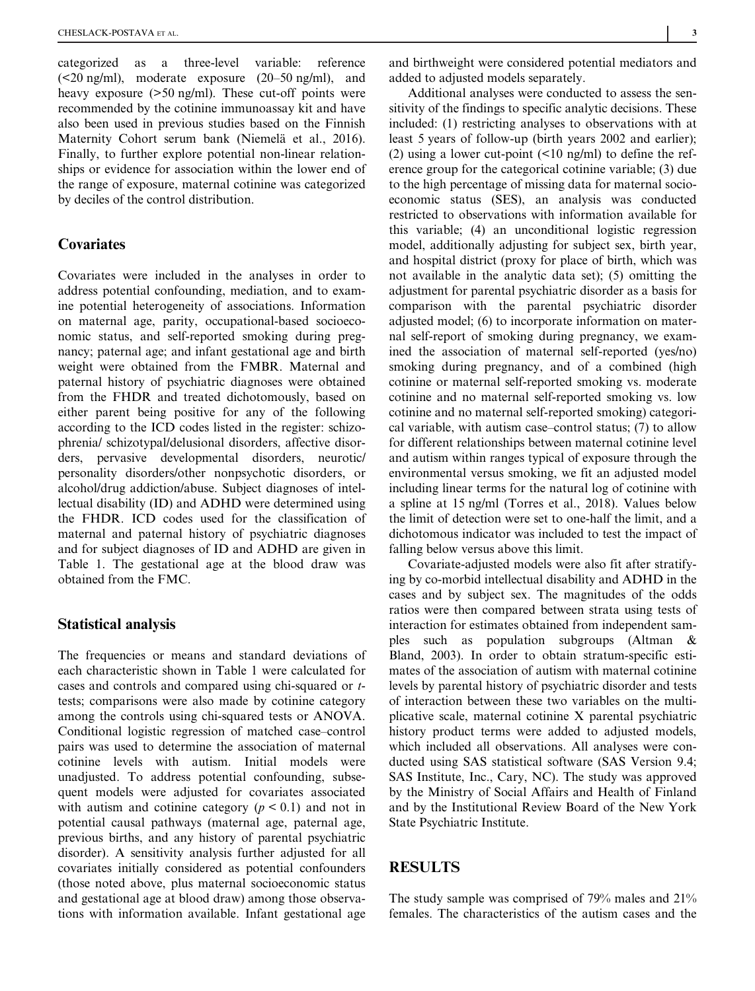categorized as a three-level variable: reference  $(\leq 20 \text{ ng/ml})$ , moderate exposure  $(20-50 \text{ ng/ml})$ , and heavy exposure ( $>50$  ng/ml). These cut-off points were recommended by the cotinine immunoassay kit and have also been used in previous studies based on the Finnish Maternity Cohort serum bank (Niemelä et al., 2016). Finally, to further explore potential non-linear relationships or evidence for association within the lower end of the range of exposure, maternal cotinine was categorized by deciles of the control distribution.

## Covariates

Covariates were included in the analyses in order to address potential confounding, mediation, and to examine potential heterogeneity of associations. Information on maternal age, parity, occupational-based socioeconomic status, and self-reported smoking during pregnancy; paternal age; and infant gestational age and birth weight were obtained from the FMBR. Maternal and paternal history of psychiatric diagnoses were obtained from the FHDR and treated dichotomously, based on either parent being positive for any of the following according to the ICD codes listed in the register: schizophrenia/ schizotypal/delusional disorders, affective disorders, pervasive developmental disorders, neurotic/ personality disorders/other nonpsychotic disorders, or alcohol/drug addiction/abuse. Subject diagnoses of intellectual disability (ID) and ADHD were determined using the FHDR. ICD codes used for the classification of maternal and paternal history of psychiatric diagnoses and for subject diagnoses of ID and ADHD are given in Table 1. The gestational age at the blood draw was obtained from the FMC.

#### Statistical analysis

The frequencies or means and standard deviations of each characteristic shown in Table 1 were calculated for cases and controls and compared using chi-squared or ttests; comparisons were also made by cotinine category among the controls using chi-squared tests or ANOVA. Conditional logistic regression of matched case–control pairs was used to determine the association of maternal cotinine levels with autism. Initial models were unadjusted. To address potential confounding, subsequent models were adjusted for covariates associated with autism and cotinine category  $(p < 0.1)$  and not in potential causal pathways (maternal age, paternal age, previous births, and any history of parental psychiatric disorder). A sensitivity analysis further adjusted for all covariates initially considered as potential confounders (those noted above, plus maternal socioeconomic status and gestational age at blood draw) among those observations with information available. Infant gestational age

and birthweight were considered potential mediators and added to adjusted models separately.

Additional analyses were conducted to assess the sensitivity of the findings to specific analytic decisions. These included: (1) restricting analyses to observations with at least 5 years of follow-up (birth years 2002 and earlier); (2) using a lower cut-point  $(\leq 10 \text{ ng/ml})$  to define the reference group for the categorical cotinine variable; (3) due to the high percentage of missing data for maternal socioeconomic status (SES), an analysis was conducted restricted to observations with information available for this variable; (4) an unconditional logistic regression model, additionally adjusting for subject sex, birth year, and hospital district (proxy for place of birth, which was not available in the analytic data set); (5) omitting the adjustment for parental psychiatric disorder as a basis for comparison with the parental psychiatric disorder adjusted model; (6) to incorporate information on maternal self-report of smoking during pregnancy, we examined the association of maternal self-reported (yes/no) smoking during pregnancy, and of a combined (high cotinine or maternal self-reported smoking vs. moderate cotinine and no maternal self-reported smoking vs. low cotinine and no maternal self-reported smoking) categorical variable, with autism case–control status; (7) to allow for different relationships between maternal cotinine level and autism within ranges typical of exposure through the environmental versus smoking, we fit an adjusted model including linear terms for the natural log of cotinine with a spline at 15 ng/ml (Torres et al., 2018). Values below the limit of detection were set to one-half the limit, and a dichotomous indicator was included to test the impact of falling below versus above this limit.

Covariate-adjusted models were also fit after stratifying by co-morbid intellectual disability and ADHD in the cases and by subject sex. The magnitudes of the odds ratios were then compared between strata using tests of interaction for estimates obtained from independent samples such as population subgroups (Altman & Bland, 2003). In order to obtain stratum-specific estimates of the association of autism with maternal cotinine levels by parental history of psychiatric disorder and tests of interaction between these two variables on the multiplicative scale, maternal cotinine X parental psychiatric history product terms were added to adjusted models, which included all observations. All analyses were conducted using SAS statistical software (SAS Version 9.4; SAS Institute, Inc., Cary, NC). The study was approved by the Ministry of Social Affairs and Health of Finland and by the Institutional Review Board of the New York State Psychiatric Institute.

## RESULTS

The study sample was comprised of 79% males and 21% females. The characteristics of the autism cases and the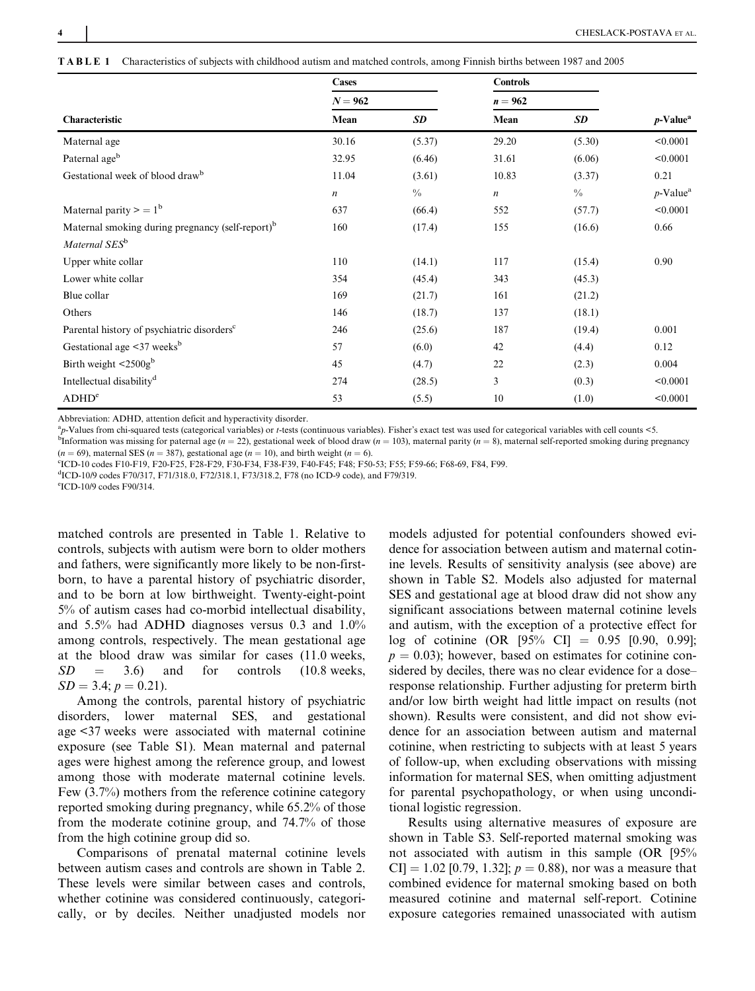TABLE 1 Characteristics of subjects with childhood autism and matched controls, among Finnish births between 1987 and 2005

|                                                              | Cases<br>$N = 962$ |               | <b>Controls</b>  |               |                         |
|--------------------------------------------------------------|--------------------|---------------|------------------|---------------|-------------------------|
|                                                              |                    |               | $n=962$          |               |                         |
| Characteristic                                               | Mean               | SD            | Mean             | SD            | $p$ -Value <sup>a</sup> |
| Maternal age                                                 | 30.16              | (5.37)        | 29.20            | (5.30)        | < 0.0001                |
| Paternal ageb                                                | 32.95              | (6.46)        | 31.61            | (6.06)        | < 0.0001                |
| Gestational week of blood drawb                              | 11.04              | (3.61)        | 10.83            | (3.37)        | 0.21                    |
|                                                              | $\boldsymbol{n}$   | $\frac{0}{0}$ | $\boldsymbol{n}$ | $\frac{0}{0}$ | $p$ -Value <sup>a</sup> |
| Maternal parity $> = 1^b$                                    | 637                | (66.4)        | 552              | (57.7)        | < 0.0001                |
| Maternal smoking during pregnancy (self-report) <sup>b</sup> | 160                | (17.4)        | 155              | (16.6)        | 0.66                    |
| Maternal SES <sup>b</sup>                                    |                    |               |                  |               |                         |
| Upper white collar                                           | 110                | (14.1)        | 117              | (15.4)        | 0.90                    |
| Lower white collar                                           | 354                | (45.4)        | 343              | (45.3)        |                         |
| Blue collar                                                  | 169                | (21.7)        | 161              | (21.2)        |                         |
| Others                                                       | 146                | (18.7)        | 137              | (18.1)        |                         |
| Parental history of psychiatric disorders <sup>c</sup>       | 246                | (25.6)        | 187              | (19.4)        | 0.001                   |
| Gestational age $\leq$ 37 weeks <sup>b</sup>                 | 57                 | (6.0)         | 42               | (4.4)         | 0.12                    |
| Birth weight $\leq 2500g^b$                                  | 45                 | (4.7)         | 22               | (2.3)         | 0.004                   |
| Intellectual disability <sup>d</sup>                         | 274                | (28.5)        | 3                | (0.3)         | < 0.0001                |
| ADHD <sup>e</sup>                                            | 53                 | (5.5)         | 10               | (1.0)         | < 0.0001                |

Abbreviation: ADHD, attention deficit and hyperactivity disorder.

<sup>a</sup>p-Values from chi-squared tests (categorical variables) or t-tests (continuous variables). Fisher's exact test was used for categorical variables with cell counts <5.

<sup>b</sup>Information was missing for paternal age ( $n = 22$ ), gestational week of blood draw ( $n = 103$ ), maternal parity ( $n = 8$ ), maternal self-reported smoking during pregnancy  $(n = 69)$ , maternal SES  $(n = 387)$ , gestational age  $(n = 10)$ , and birth weight  $(n = 6)$ .

c ICD-10 codes F10-F19, F20-F25, F28-F29, F30-F34, F38-F39, F40-F45; F48; F50-53; F55; F59-66; F68-69, F84, F99.

d ICD-10/9 codes F70/317, F71/318.0, F72/318.1, F73/318.2, F78 (no ICD-9 code), and F79/319.

e ICD-10/9 codes F90/314.

matched controls are presented in Table 1. Relative to controls, subjects with autism were born to older mothers and fathers, were significantly more likely to be non-firstborn, to have a parental history of psychiatric disorder, and to be born at low birthweight. Twenty-eight-point 5% of autism cases had co-morbid intellectual disability, and 5.5% had ADHD diagnoses versus 0.3 and 1.0% among controls, respectively. The mean gestational age at the blood draw was similar for cases (11.0 weeks,  $SD = 3.6$  and for controls  $(10.8 \text{ weeks},$  $SD = 3.4; p = 0.21$ .

Among the controls, parental history of psychiatric disorders, lower maternal SES, and gestational age <37 weeks were associated with maternal cotinine exposure (see Table S1). Mean maternal and paternal ages were highest among the reference group, and lowest among those with moderate maternal cotinine levels. Few (3.7%) mothers from the reference cotinine category reported smoking during pregnancy, while 65.2% of those from the moderate cotinine group, and 74.7% of those from the high cotinine group did so.

Comparisons of prenatal maternal cotinine levels between autism cases and controls are shown in Table 2. These levels were similar between cases and controls, whether cotinine was considered continuously, categorically, or by deciles. Neither unadjusted models nor

models adjusted for potential confounders showed evidence for association between autism and maternal cotinine levels. Results of sensitivity analysis (see above) are shown in Table S2. Models also adjusted for maternal SES and gestational age at blood draw did not show any significant associations between maternal cotinine levels and autism, with the exception of a protective effect for log of cotinine (OR [95% CI] = 0.95 [0.90, 0.99];  $p = 0.03$ ; however, based on estimates for cotinine considered by deciles, there was no clear evidence for a dose– response relationship. Further adjusting for preterm birth and/or low birth weight had little impact on results (not shown). Results were consistent, and did not show evidence for an association between autism and maternal cotinine, when restricting to subjects with at least 5 years of follow-up, when excluding observations with missing information for maternal SES, when omitting adjustment for parental psychopathology, or when using unconditional logistic regression.

Results using alternative measures of exposure are shown in Table S3. Self-reported maternal smoking was not associated with autism in this sample (OR [95%  $CI$  = 1.02 [0.79, 1.32];  $p = 0.88$ ), nor was a measure that combined evidence for maternal smoking based on both measured cotinine and maternal self-report. Cotinine exposure categories remained unassociated with autism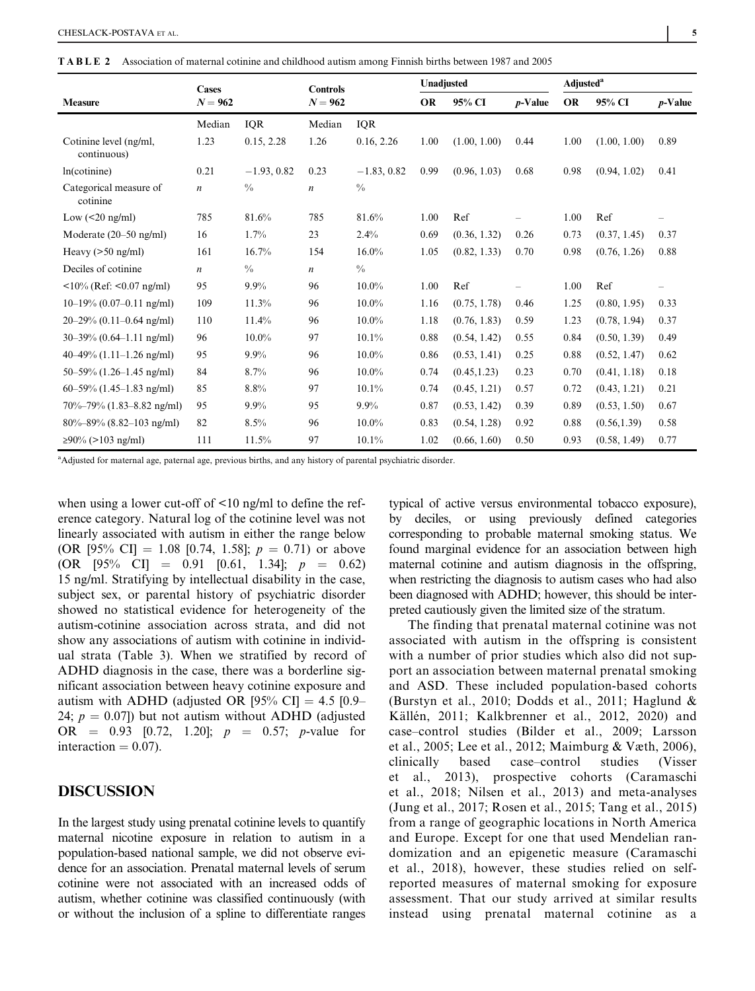TABLE 2 Association of maternal cotinine and childhood autism among Finnish births between 1987 and 2005

|                                                           | <b>Cases</b>     |               | <b>Controls</b>  |               | Unadjusted |              |            | <b>Adjusted</b> <sup>a</sup> |              |            |
|-----------------------------------------------------------|------------------|---------------|------------------|---------------|------------|--------------|------------|------------------------------|--------------|------------|
| <b>Measure</b>                                            | $N = 962$        |               | $N = 962$        |               | <b>OR</b>  | 95% CI       | $p$ -Value | <b>OR</b>                    | 95% CI       | $p$ -Value |
|                                                           | Median           | <b>IQR</b>    | Median           | <b>IQR</b>    |            |              |            |                              |              |            |
| Cotinine level (ng/ml,<br>continuous)                     | 1.23             | 0.15, 2.28    | 1.26             | 0.16, 2.26    | 1.00       | (1.00, 1.00) | 0.44       | 1.00                         | (1.00, 1.00) | 0.89       |
| ln(cotinine)                                              | 0.21             | $-1.93, 0.82$ | 0.23             | $-1.83, 0.82$ | 0.99       | (0.96, 1.03) | 0.68       | 0.98                         | (0.94, 1.02) | 0.41       |
| Categorical measure of<br>cotinine                        | $\boldsymbol{n}$ | $\frac{0}{0}$ | $\boldsymbol{n}$ | $\frac{0}{0}$ |            |              |            |                              |              |            |
| Low $(<20$ ng/ml)                                         | 785              | 81.6%         | 785              | 81.6%         | 1.00       | Ref          |            | 1.00                         | Ref          |            |
| Moderate $(20-50 \text{ ng/ml})$                          | 16               | 1.7%          | 23               | 2.4%          | 0.69       | (0.36, 1.32) | 0.26       | 0.73                         | (0.37, 1.45) | 0.37       |
| Heavy $(>50$ ng/ml)                                       | 161              | 16.7%         | 154              | 16.0%         | 1.05       | (0.82, 1.33) | 0.70       | 0.98                         | (0.76, 1.26) | 0.88       |
| Deciles of cotinine                                       | $\boldsymbol{n}$ | $\frac{0}{0}$ | $\boldsymbol{n}$ | $\frac{0}{0}$ |            |              |            |                              |              |            |
| $\langle 10\% \text{ (Ref: } 0.07 \text{ ng/ml}) \rangle$ | 95               | $9.9\%$       | 96               | $10.0\%$      | 1.00       | Ref          |            | 1.00                         | Ref          |            |
| $10-19\%$ (0.07-0.11 ng/ml)                               | 109              | 11.3%         | 96               | $10.0\%$      | 1.16       | (0.75, 1.78) | 0.46       | 1.25                         | (0.80, 1.95) | 0.33       |
| $20-29\%$ (0.11-0.64 ng/ml)                               | 110              | 11.4%         | 96               | $10.0\%$      | 1.18       | (0.76, 1.83) | 0.59       | 1.23                         | (0.78, 1.94) | 0.37       |
| $30-39\% (0.64-1.11$ ng/ml)                               | 96               | $10.0\%$      | 97               | 10.1%         | 0.88       | (0.54, 1.42) | 0.55       | 0.84                         | (0.50, 1.39) | 0.49       |
| $40-49\%$ (1.11–1.26 ng/ml)                               | 95               | $9.9\%$       | 96               | $10.0\%$      | 0.86       | (0.53, 1.41) | 0.25       | 0.88                         | (0.52, 1.47) | 0.62       |
| $50-59\%$ (1.26-1.45 ng/ml)                               | 84               | 8.7%          | 96               | $10.0\%$      | 0.74       | (0.45, 1.23) | 0.23       | 0.70                         | (0.41, 1.18) | 0.18       |
| $60-59\%$ (1.45-1.83 ng/ml)                               | 85               | 8.8%          | 97               | 10.1%         | 0.74       | (0.45, 1.21) | 0.57       | 0.72                         | (0.43, 1.21) | 0.21       |
| $70\% - 79\%$ (1.83–8.82 ng/ml)                           | 95               | 9.9%          | 95               | $9.9\%$       | 0.87       | (0.53, 1.42) | 0.39       | 0.89                         | (0.53, 1.50) | 0.67       |
| $80\% - 89\%$ (8.82–103 ng/ml)                            | 82               | 8.5%          | 96               | $10.0\%$      | 0.83       | (0.54, 1.28) | 0.92       | 0.88                         | (0.56, 1.39) | 0.58       |
| $≥90\%$ (>103 ng/ml)                                      | 111              | 11.5%         | 97               | 10.1%         | 1.02       | (0.66, 1.60) | 0.50       | 0.93                         | (0.58, 1.49) | 0.77       |

<sup>a</sup>Adjusted for maternal age, paternal age, previous births, and any history of parental psychiatric disorder.

when using a lower cut-off of <10 ng/ml to define the reference category. Natural log of the cotinine level was not linearly associated with autism in either the range below (OR [95% CI] = 1.08 [0.74, 1.58];  $p = 0.71$ ) or above (OR [95% CI] = 0.91 [0.61, 1.34];  $p = 0.62$ ) 15 ng/ml. Stratifying by intellectual disability in the case, subject sex, or parental history of psychiatric disorder showed no statistical evidence for heterogeneity of the autism-cotinine association across strata, and did not show any associations of autism with cotinine in individual strata (Table 3). When we stratified by record of ADHD diagnosis in the case, there was a borderline significant association between heavy cotinine exposure and autism with ADHD (adjusted OR [95% CI] = 4.5 [0.9– 24;  $p = 0.07$ ) but not autism without ADHD (adjusted OR =  $0.93$  [0.72, 1.20];  $p = 0.57$ ; p-value for interaction  $= 0.07$ ).

## DISCUSSION

In the largest study using prenatal cotinine levels to quantify maternal nicotine exposure in relation to autism in a population-based national sample, we did not observe evidence for an association. Prenatal maternal levels of serum cotinine were not associated with an increased odds of autism, whether cotinine was classified continuously (with or without the inclusion of a spline to differentiate ranges

typical of active versus environmental tobacco exposure), by deciles, or using previously defined categories corresponding to probable maternal smoking status. We found marginal evidence for an association between high maternal cotinine and autism diagnosis in the offspring, when restricting the diagnosis to autism cases who had also been diagnosed with ADHD; however, this should be interpreted cautiously given the limited size of the stratum.

The finding that prenatal maternal cotinine was not associated with autism in the offspring is consistent with a number of prior studies which also did not support an association between maternal prenatal smoking and ASD. These included population-based cohorts (Burstyn et al., 2010; Dodds et al., 2011; Haglund & Källén, 2011; Kalkbrenner et al., 2012, 2020) and case–control studies (Bilder et al., 2009; Larsson et al., 2005; Lee et al., 2012; Maimburg & Væth, 2006), clinically based case–control studies (Visser et al., 2013), prospective cohorts (Caramaschi et al., 2018; Nilsen et al., 2013) and meta-analyses (Jung et al., 2017; Rosen et al., 2015; Tang et al., 2015) from a range of geographic locations in North America and Europe. Except for one that used Mendelian randomization and an epigenetic measure (Caramaschi et al., 2018), however, these studies relied on selfreported measures of maternal smoking for exposure assessment. That our study arrived at similar results instead using prenatal maternal cotinine as a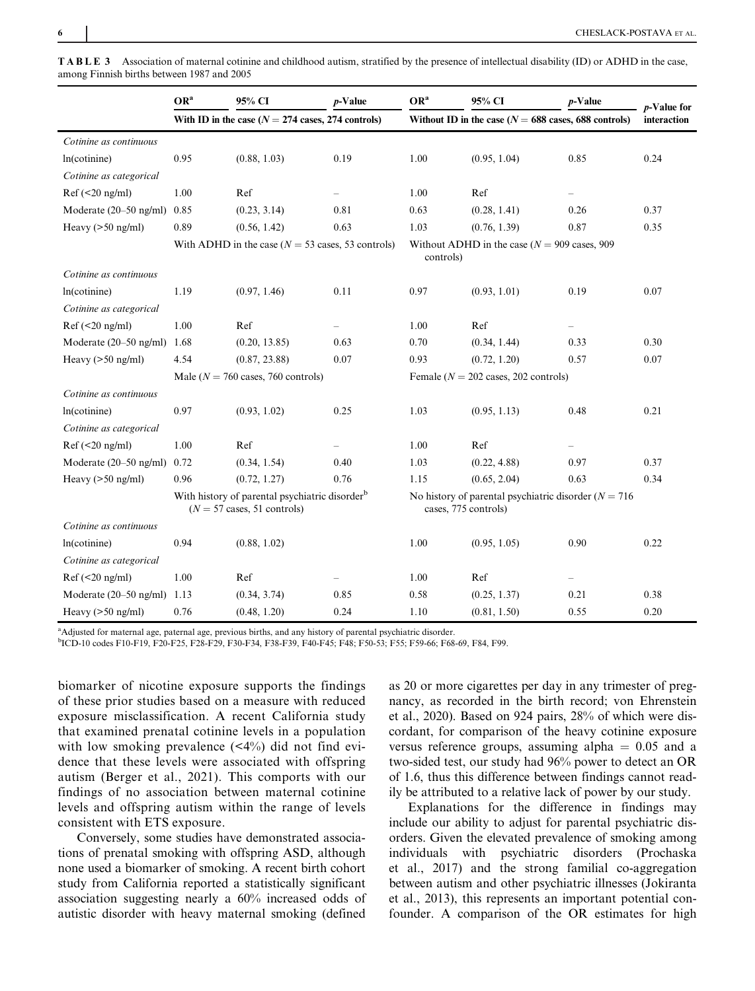|                                  | OR <sup>a</sup>                                                                                             | 95% CI                                               | $p$ -Value | OR <sup>a</sup>                                                                   | 95% CI       | $p$ -Value               | $p$ -Value for |
|----------------------------------|-------------------------------------------------------------------------------------------------------------|------------------------------------------------------|------------|-----------------------------------------------------------------------------------|--------------|--------------------------|----------------|
|                                  |                                                                                                             | With ID in the case ( $N = 274$ cases, 274 controls) |            | Without ID in the case ( $N = 688$ cases, 688 controls)                           | interaction  |                          |                |
| Cotinine as continuous           |                                                                                                             |                                                      |            |                                                                                   |              |                          |                |
| ln(cotinine)                     | 0.95                                                                                                        | (0.88, 1.03)                                         | 0.19       | 1.00                                                                              | (0.95, 1.04) | 0.85                     | 0.24           |
| Cotinine as categorical          |                                                                                                             |                                                      |            |                                                                                   |              |                          |                |
| Ref(<20 ng/ml)                   | 1.00                                                                                                        | Ref                                                  |            | 1.00                                                                              | Ref          | $\overline{\phantom{0}}$ |                |
| Moderate $(20-50 \text{ ng/ml})$ | 0.85                                                                                                        | (0.23, 3.14)                                         | 0.81       | 0.63                                                                              | (0.28, 1.41) | 0.26                     | 0.37           |
| Heavy $(>50$ ng/ml)              | 0.89                                                                                                        | (0.56, 1.42)                                         | 0.63       | 1.03                                                                              | (0.76, 1.39) | 0.87                     | 0.35           |
|                                  |                                                                                                             | With ADHD in the case ( $N = 53$ cases, 53 controls) |            | Without ADHD in the case ( $N = 909$ cases, 909<br>controls)                      |              |                          |                |
| Cotinine as continuous           |                                                                                                             |                                                      |            |                                                                                   |              |                          |                |
| ln(cotinine)                     | 1.19                                                                                                        | (0.97, 1.46)                                         | 0.11       | 0.97                                                                              | (0.93, 1.01) | 0.19                     | 0.07           |
| Cotinine as categorical          |                                                                                                             |                                                      |            |                                                                                   |              |                          |                |
| Ref(<20 ng/ml)                   | 1.00                                                                                                        | Ref                                                  |            | 1.00                                                                              | Ref          |                          |                |
| Moderate $(20-50 \text{ ng/ml})$ | 1.68                                                                                                        | (0.20, 13.85)                                        | 0.63       | 0.70                                                                              | (0.34, 1.44) | 0.33                     | 0.30           |
| Heavy $(>50$ ng/ml)              | 4.54                                                                                                        | (0.87, 23.88)                                        | 0.07       | 0.93                                                                              | (0.72, 1.20) | 0.57                     | 0.07           |
|                                  | Male ( $N = 760$ cases, 760 controls)                                                                       |                                                      |            | Female ( $N = 202$ cases, 202 controls)                                           |              |                          |                |
| Cotinine as continuous           |                                                                                                             |                                                      |            |                                                                                   |              |                          |                |
| ln(cotinine)                     | 0.97                                                                                                        | (0.93, 1.02)                                         | 0.25       | 1.03                                                                              | (0.95, 1.13) | 0.48                     | 0.21           |
| Cotinine as categorical          |                                                                                                             |                                                      |            |                                                                                   |              |                          |                |
| $Ref(<20$ ng/ml)                 | 1.00                                                                                                        | Ref                                                  |            | 1.00                                                                              | Ref          |                          |                |
| Moderate $(20-50 \text{ ng/ml})$ | 0.72                                                                                                        | (0.34, 1.54)                                         | 0.40       | 1.03                                                                              | (0.22, 4.88) | 0.97                     | 0.37           |
| Heavy $(>50$ ng/ml)              | 0.96                                                                                                        | (0.72, 1.27)                                         | 0.76       | 1.15                                                                              | (0.65, 2.04) | 0.63                     | 0.34           |
|                                  | With history of parental psychiatric disorder <sup>b</sup><br>$(N = 57 \text{ cases}, 51 \text{ controls})$ |                                                      |            | No history of parental psychiatric disorder ( $N = 716$ )<br>cases, 775 controls) |              |                          |                |
| Cotinine as continuous           |                                                                                                             |                                                      |            |                                                                                   |              |                          |                |
| ln(cotinine)                     | 0.94                                                                                                        | (0.88, 1.02)                                         |            | 1.00                                                                              | (0.95, 1.05) | 0.90                     | 0.22           |
| Cotinine as categorical          |                                                                                                             |                                                      |            |                                                                                   |              |                          |                |
| $Ref(\leq 20$ ng/ml)             | 1.00                                                                                                        | Ref                                                  |            | 1.00                                                                              | Ref          | $\overline{\phantom{0}}$ |                |
| Moderate (20–50 ng/ml)           | 1.13                                                                                                        | (0.34, 3.74)                                         | 0.85       | 0.58                                                                              | (0.25, 1.37) | 0.21                     | 0.38           |
| Heavy $(>50$ ng/ml)              | 0.76                                                                                                        | (0.48, 1.20)                                         | 0.24       | 1.10                                                                              | (0.81, 1.50) | 0.55                     | 0.20           |

TABLE 3 Association of maternal cotinine and childhood autism, stratified by the presence of intellectual disability (ID) or ADHD in the case, among Finnish births between 1987 and 2005

<sup>a</sup>Adjusted for maternal age, paternal age, previous births, and any history of parental psychiatric disorder.

b ICD-10 codes F10-F19, F20-F25, F28-F29, F30-F34, F38-F39, F40-F45; F48; F50-53; F55; F59-66; F68-69, F84, F99.

biomarker of nicotine exposure supports the findings of these prior studies based on a measure with reduced exposure misclassification. A recent California study that examined prenatal cotinine levels in a population with low smoking prevalence  $(\leq 4\%)$  did not find evidence that these levels were associated with offspring autism (Berger et al., 2021). This comports with our findings of no association between maternal cotinine levels and offspring autism within the range of levels consistent with ETS exposure.

Conversely, some studies have demonstrated associations of prenatal smoking with offspring ASD, although none used a biomarker of smoking. A recent birth cohort study from California reported a statistically significant association suggesting nearly a 60% increased odds of autistic disorder with heavy maternal smoking (defined

as 20 or more cigarettes per day in any trimester of pregnancy, as recorded in the birth record; von Ehrenstein et al., 2020). Based on 924 pairs, 28% of which were discordant, for comparison of the heavy cotinine exposure versus reference groups, assuming alpha  $= 0.05$  and a two-sided test, our study had 96% power to detect an OR of 1.6, thus this difference between findings cannot readily be attributed to a relative lack of power by our study.

Explanations for the difference in findings may include our ability to adjust for parental psychiatric disorders. Given the elevated prevalence of smoking among individuals with psychiatric disorders (Prochaska et al., 2017) and the strong familial co-aggregation between autism and other psychiatric illnesses (Jokiranta et al., 2013), this represents an important potential confounder. A comparison of the OR estimates for high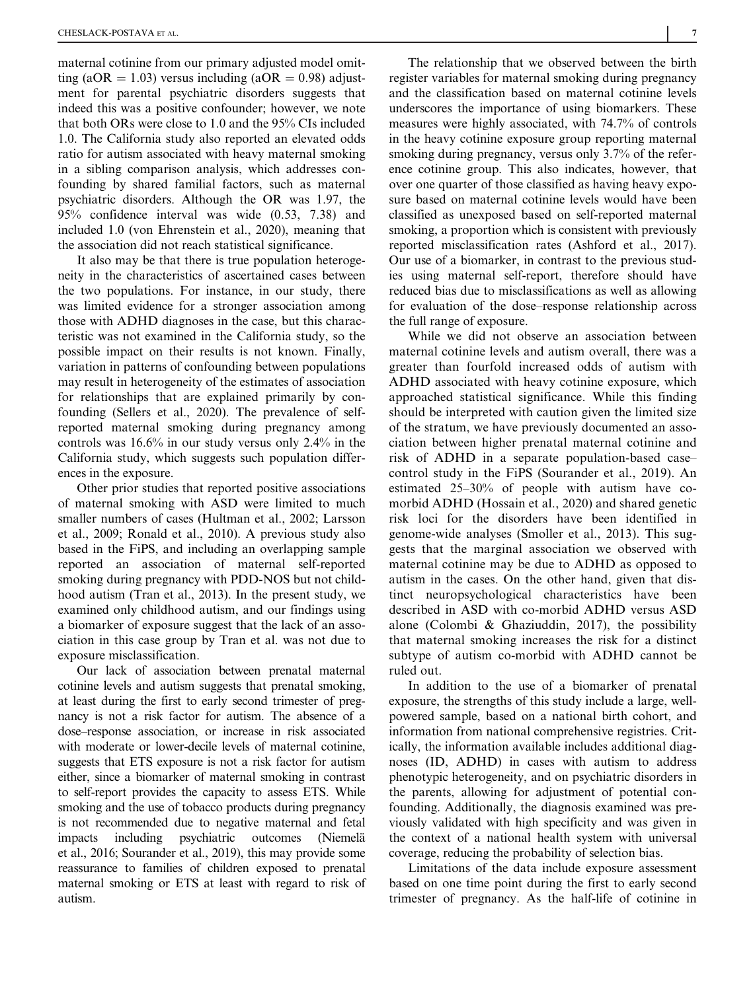maternal cotinine from our primary adjusted model omitting (aOR = 1.03) versus including (aOR = 0.98) adjustment for parental psychiatric disorders suggests that indeed this was a positive confounder; however, we note that both ORs were close to 1.0 and the 95% CIs included 1.0. The California study also reported an elevated odds ratio for autism associated with heavy maternal smoking in a sibling comparison analysis, which addresses confounding by shared familial factors, such as maternal psychiatric disorders. Although the OR was 1.97, the 95% confidence interval was wide (0.53, 7.38) and included 1.0 (von Ehrenstein et al., 2020), meaning that the association did not reach statistical significance.

It also may be that there is true population heterogeneity in the characteristics of ascertained cases between the two populations. For instance, in our study, there was limited evidence for a stronger association among those with ADHD diagnoses in the case, but this characteristic was not examined in the California study, so the possible impact on their results is not known. Finally, variation in patterns of confounding between populations may result in heterogeneity of the estimates of association for relationships that are explained primarily by confounding (Sellers et al., 2020). The prevalence of selfreported maternal smoking during pregnancy among controls was 16.6% in our study versus only 2.4% in the California study, which suggests such population differences in the exposure.

Other prior studies that reported positive associations of maternal smoking with ASD were limited to much smaller numbers of cases (Hultman et al., 2002; Larsson et al., 2009; Ronald et al., 2010). A previous study also based in the FiPS, and including an overlapping sample reported an association of maternal self-reported smoking during pregnancy with PDD-NOS but not childhood autism (Tran et al., 2013). In the present study, we examined only childhood autism, and our findings using a biomarker of exposure suggest that the lack of an association in this case group by Tran et al. was not due to exposure misclassification.

Our lack of association between prenatal maternal cotinine levels and autism suggests that prenatal smoking, at least during the first to early second trimester of pregnancy is not a risk factor for autism. The absence of a dose–response association, or increase in risk associated with moderate or lower-decile levels of maternal cotinine, suggests that ETS exposure is not a risk factor for autism either, since a biomarker of maternal smoking in contrast to self-report provides the capacity to assess ETS. While smoking and the use of tobacco products during pregnancy is not recommended due to negative maternal and fetal impacts including psychiatric outcomes (Niemelä et al., 2016; Sourander et al., 2019), this may provide some reassurance to families of children exposed to prenatal maternal smoking or ETS at least with regard to risk of autism.

The relationship that we observed between the birth register variables for maternal smoking during pregnancy and the classification based on maternal cotinine levels underscores the importance of using biomarkers. These measures were highly associated, with 74.7% of controls in the heavy cotinine exposure group reporting maternal smoking during pregnancy, versus only 3.7% of the reference cotinine group. This also indicates, however, that over one quarter of those classified as having heavy exposure based on maternal cotinine levels would have been classified as unexposed based on self-reported maternal smoking, a proportion which is consistent with previously reported misclassification rates (Ashford et al., 2017). Our use of a biomarker, in contrast to the previous studies using maternal self-report, therefore should have reduced bias due to misclassifications as well as allowing for evaluation of the dose–response relationship across the full range of exposure.

While we did not observe an association between maternal cotinine levels and autism overall, there was a greater than fourfold increased odds of autism with ADHD associated with heavy cotinine exposure, which approached statistical significance. While this finding should be interpreted with caution given the limited size of the stratum, we have previously documented an association between higher prenatal maternal cotinine and risk of ADHD in a separate population-based case– control study in the FiPS (Sourander et al., 2019). An estimated 25–30% of people with autism have comorbid ADHD (Hossain et al., 2020) and shared genetic risk loci for the disorders have been identified in genome-wide analyses (Smoller et al., 2013). This suggests that the marginal association we observed with maternal cotinine may be due to ADHD as opposed to autism in the cases. On the other hand, given that distinct neuropsychological characteristics have been described in ASD with co-morbid ADHD versus ASD alone (Colombi & Ghaziuddin, 2017), the possibility that maternal smoking increases the risk for a distinct subtype of autism co-morbid with ADHD cannot be ruled out.

In addition to the use of a biomarker of prenatal exposure, the strengths of this study include a large, wellpowered sample, based on a national birth cohort, and information from national comprehensive registries. Critically, the information available includes additional diagnoses (ID, ADHD) in cases with autism to address phenotypic heterogeneity, and on psychiatric disorders in the parents, allowing for adjustment of potential confounding. Additionally, the diagnosis examined was previously validated with high specificity and was given in the context of a national health system with universal coverage, reducing the probability of selection bias.

Limitations of the data include exposure assessment based on one time point during the first to early second trimester of pregnancy. As the half-life of cotinine in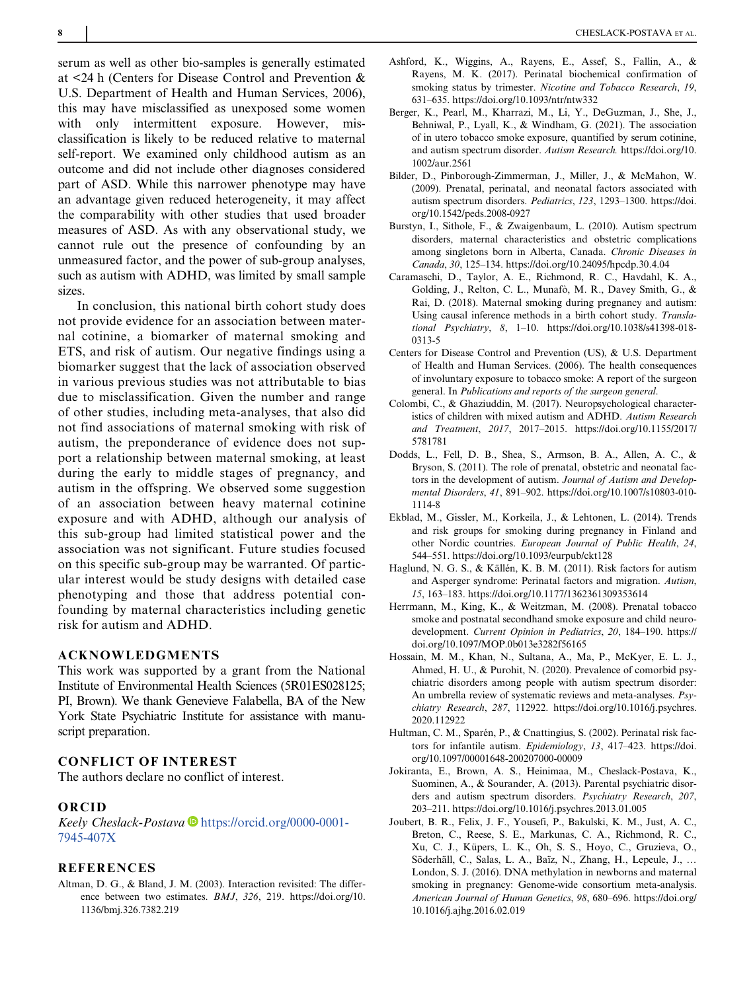serum as well as other bio-samples is generally estimated at <24 h (Centers for Disease Control and Prevention & U.S. Department of Health and Human Services, 2006), this may have misclassified as unexposed some women with only intermittent exposure. However, misclassification is likely to be reduced relative to maternal self-report. We examined only childhood autism as an outcome and did not include other diagnoses considered part of ASD. While this narrower phenotype may have an advantage given reduced heterogeneity, it may affect the comparability with other studies that used broader measures of ASD. As with any observational study, we cannot rule out the presence of confounding by an unmeasured factor, and the power of sub-group analyses, such as autism with ADHD, was limited by small sample sizes.

In conclusion, this national birth cohort study does not provide evidence for an association between maternal cotinine, a biomarker of maternal smoking and ETS, and risk of autism. Our negative findings using a biomarker suggest that the lack of association observed in various previous studies was not attributable to bias due to misclassification. Given the number and range of other studies, including meta-analyses, that also did not find associations of maternal smoking with risk of autism, the preponderance of evidence does not support a relationship between maternal smoking, at least during the early to middle stages of pregnancy, and autism in the offspring. We observed some suggestion of an association between heavy maternal cotinine exposure and with ADHD, although our analysis of this sub-group had limited statistical power and the association was not significant. Future studies focused on this specific sub-group may be warranted. Of particular interest would be study designs with detailed case phenotyping and those that address potential confounding by maternal characteristics including genetic risk for autism and ADHD.

# ACKNOWLEDGMENTS

This work was supported by a grant from the National Institute of Environmental Health Sciences (5R01ES028125; PI, Brown). We thank Genevieve Falabella, BA of the New York State Psychiatric Institute for assistance with manuscript preparation.

## CONFLICT OF INTEREST

The authors declare no conflict of interest.

#### ORCID

Keely Cheslack-Postava<sup>ID</sup> [https://orcid.org/0000-0001-](https://orcid.org/0000-0001-7945-407X) [7945-407X](https://orcid.org/0000-0001-7945-407X)

#### **REFERENCES**

Altman, D. G., & Bland, J. M. (2003). Interaction revisited: The difference between two estimates. BMJ, 326, 219. [https://doi.org/10.](https://doi.org/10.1136/bmj.326.7382.219) [1136/bmj.326.7382.219](https://doi.org/10.1136/bmj.326.7382.219)

- Ashford, K., Wiggins, A., Rayens, E., Assef, S., Fallin, A., & Rayens, M. K. (2017). Perinatal biochemical confirmation of smoking status by trimester. Nicotine and Tobacco Research, 19, 631–635.<https://doi.org/10.1093/ntr/ntw332>
- Berger, K., Pearl, M., Kharrazi, M., Li, Y., DeGuzman, J., She, J., Behniwal, P., Lyall, K., & Windham, G. (2021). The association of in utero tobacco smoke exposure, quantified by serum cotinine, and autism spectrum disorder. Autism Research. [https://doi.org/10.](https://doi.org/10.1002/aur.2561) [1002/aur.2561](https://doi.org/10.1002/aur.2561)
- Bilder, D., Pinborough-Zimmerman, J., Miller, J., & McMahon, W. (2009). Prenatal, perinatal, and neonatal factors associated with autism spectrum disorders. Pediatrics, 123, 1293–1300. [https://doi.](https://doi.org/10.1542/peds.2008-0927) [org/10.1542/peds.2008-0927](https://doi.org/10.1542/peds.2008-0927)
- Burstyn, I., Sithole, F., & Zwaigenbaum, L. (2010). Autism spectrum disorders, maternal characteristics and obstetric complications among singletons born in Alberta, Canada. Chronic Diseases in Canada, 30, 125–134.<https://doi.org/10.24095/hpcdp.30.4.04>
- Caramaschi, D., Taylor, A. E., Richmond, R. C., Havdahl, K. A., Golding, J., Relton, C. L., Munafò, M. R., Davey Smith, G., & Rai, D. (2018). Maternal smoking during pregnancy and autism: Using causal inference methods in a birth cohort study. Translational Psychiatry, 8, 1–10. [https://doi.org/10.1038/s41398-018-](https://doi.org/10.1038/s41398-018-0313-5) [0313-5](https://doi.org/10.1038/s41398-018-0313-5)
- Centers for Disease Control and Prevention (US), & U.S. Department of Health and Human Services. (2006). The health consequences of involuntary exposure to tobacco smoke: A report of the surgeon general. In Publications and reports of the surgeon general.
- Colombi, C., & Ghaziuddin, M. (2017). Neuropsychological characteristics of children with mixed autism and ADHD. Autism Research and Treatment, 2017, 2017–2015. [https://doi.org/10.1155/2017/](https://doi.org/10.1155/2017/5781781) [5781781](https://doi.org/10.1155/2017/5781781)
- Dodds, L., Fell, D. B., Shea, S., Armson, B. A., Allen, A. C., & Bryson, S. (2011). The role of prenatal, obstetric and neonatal factors in the development of autism. Journal of Autism and Developmental Disorders, 41, 891–902. [https://doi.org/10.1007/s10803-010-](https://doi.org/10.1007/s10803-010-1114-8) [1114-8](https://doi.org/10.1007/s10803-010-1114-8)
- Ekblad, M., Gissler, M., Korkeila, J., & Lehtonen, L. (2014). Trends and risk groups for smoking during pregnancy in Finland and other Nordic countries. European Journal of Public Health, 24, 544–551.<https://doi.org/10.1093/eurpub/ckt128>
- Haglund, N. G. S., & Källén, K. B. M. (2011). Risk factors for autism and Asperger syndrome: Perinatal factors and migration. Autism, 15, 163–183.<https://doi.org/10.1177/1362361309353614>
- Herrmann, M., King, K., & Weitzman, M. (2008). Prenatal tobacco smoke and postnatal secondhand smoke exposure and child neurodevelopment. Current Opinion in Pediatrics, 20, 184–190. [https://](https://doi.org/10.1097/MOP.0b013e3282f56165) [doi.org/10.1097/MOP.0b013e3282f56165](https://doi.org/10.1097/MOP.0b013e3282f56165)
- Hossain, M. M., Khan, N., Sultana, A., Ma, P., McKyer, E. L. J., Ahmed, H. U., & Purohit, N. (2020). Prevalence of comorbid psychiatric disorders among people with autism spectrum disorder: An umbrella review of systematic reviews and meta-analyses. Psychiatry Research, 287, 112922. [https://doi.org/10.1016/j.psychres.](https://doi.org/10.1016/j.psychres.2020.112922) [2020.112922](https://doi.org/10.1016/j.psychres.2020.112922)
- Hultman, C. M., Sparén, P., & Cnattingius, S. (2002). Perinatal risk factors for infantile autism. Epidemiology, 13, 417–423. [https://doi.](https://doi.org/10.1097/00001648-200207000-00009) [org/10.1097/00001648-200207000-00009](https://doi.org/10.1097/00001648-200207000-00009)
- Jokiranta, E., Brown, A. S., Heinimaa, M., Cheslack-Postava, K., Suominen, A., & Sourander, A. (2013). Parental psychiatric disorders and autism spectrum disorders. Psychiatry Research, 207, 203–211.<https://doi.org/10.1016/j.psychres.2013.01.005>
- Joubert, B. R., Felix, J. F., Yousefi, P., Bakulski, K. M., Just, A. C., Breton, C., Reese, S. E., Markunas, C. A., Richmond, R. C., Xu, C. J., Küpers, L. K., Oh, S. S., Hoyo, C., Gruzieva, O., Söderhäll, C., Salas, L. A., Baïz, N., Zhang, H., Lepeule, J., … London, S. J. (2016). DNA methylation in newborns and maternal smoking in pregnancy: Genome-wide consortium meta-analysis. American Journal of Human Genetics, 98, 680–696. [https://doi.org/](https://doi.org/10.1016/j.ajhg.2016.02.019) [10.1016/j.ajhg.2016.02.019](https://doi.org/10.1016/j.ajhg.2016.02.019)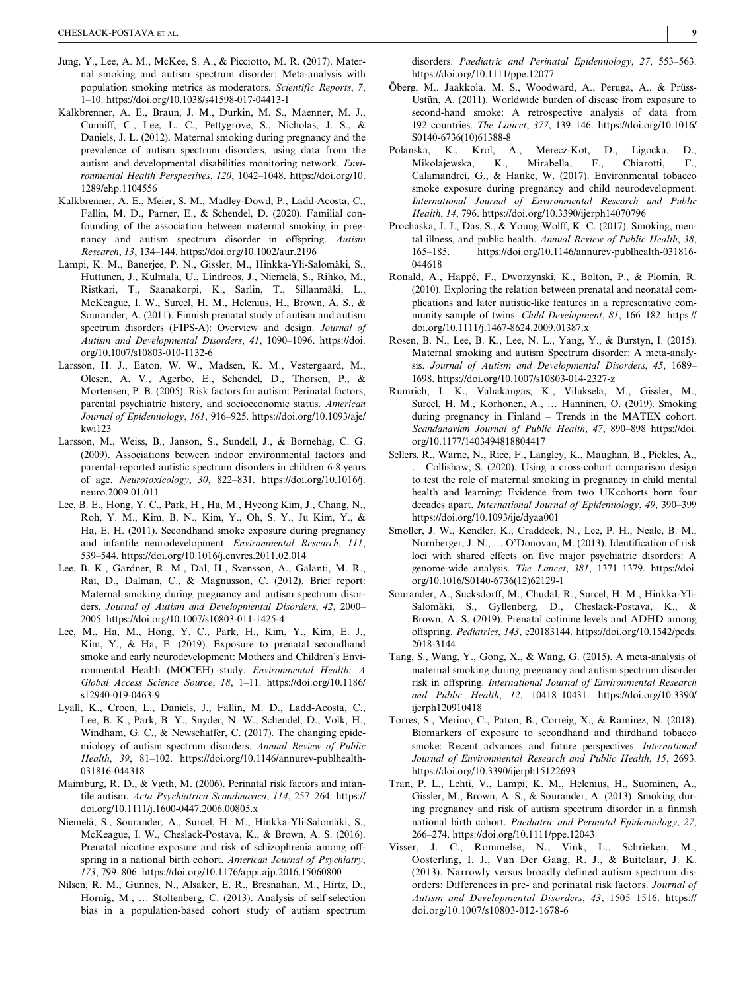- Jung, Y., Lee, A. M., McKee, S. A., & Picciotto, M. R. (2017). Maternal smoking and autism spectrum disorder: Meta-analysis with population smoking metrics as moderators. Scientific Reports, 7, 1–10.<https://doi.org/10.1038/s41598-017-04413-1>
- Kalkbrenner, A. E., Braun, J. M., Durkin, M. S., Maenner, M. J., Cunniff, C., Lee, L. C., Pettygrove, S., Nicholas, J. S., & Daniels, J. L. (2012). Maternal smoking during pregnancy and the prevalence of autism spectrum disorders, using data from the autism and developmental disabilities monitoring network. Environmental Health Perspectives, 120, 1042–1048. [https://doi.org/10.](https://doi.org/10.1289/ehp.1104556) [1289/ehp.1104556](https://doi.org/10.1289/ehp.1104556)
- Kalkbrenner, A. E., Meier, S. M., Madley-Dowd, P., Ladd-Acosta, C., Fallin, M. D., Parner, E., & Schendel, D. (2020). Familial confounding of the association between maternal smoking in pregnancy and autism spectrum disorder in offspring. Autism Research, 13, 134–144.<https://doi.org/10.1002/aur.2196>
- Lampi, K. M., Banerjee, P. N., Gissler, M., Hinkka-Yli-Salomäki, S., Huttunen, J., Kulmala, U., Lindroos, J., Niemelä, S., Rihko, M., Ristkari, T., Saanakorpi, K., Sarlin, T., Sillanmäki, L., McKeague, I. W., Surcel, H. M., Helenius, H., Brown, A. S., & Sourander, A. (2011). Finnish prenatal study of autism and autism spectrum disorders (FIPS-A): Overview and design. Journal of Autism and Developmental Disorders, 41, 1090–1096. [https://doi.](https://doi.org/10.1007/s10803-010-1132-6) [org/10.1007/s10803-010-1132-6](https://doi.org/10.1007/s10803-010-1132-6)
- Larsson, H. J., Eaton, W. W., Madsen, K. M., Vestergaard, M., Olesen, A. V., Agerbo, E., Schendel, D., Thorsen, P., & Mortensen, P. B. (2005). Risk factors for autism: Perinatal factors, parental psychiatric history, and socioeconomic status. American Journal of Epidemiology, 161, 916–925. [https://doi.org/10.1093/aje/](https://doi.org/10.1093/aje/kwi123) [kwi123](https://doi.org/10.1093/aje/kwi123)
- Larsson, M., Weiss, B., Janson, S., Sundell, J., & Bornehag, C. G. (2009). Associations between indoor environmental factors and parental-reported autistic spectrum disorders in children 6-8 years of age. Neurotoxicology, 30, 822–831. [https://doi.org/10.1016/j.](https://doi.org/10.1016/j.neuro.2009.01.011) [neuro.2009.01.011](https://doi.org/10.1016/j.neuro.2009.01.011)
- Lee, B. E., Hong, Y. C., Park, H., Ha, M., Hyeong Kim, J., Chang, N., Roh, Y. M., Kim, B. N., Kim, Y., Oh, S. Y., Ju Kim, Y., & Ha, E. H. (2011). Secondhand smoke exposure during pregnancy and infantile neurodevelopment. Environmental Research, 111, 539–544.<https://doi.org/10.1016/j.envres.2011.02.014>
- Lee, B. K., Gardner, R. M., Dal, H., Svensson, A., Galanti, M. R., Rai, D., Dalman, C., & Magnusson, C. (2012). Brief report: Maternal smoking during pregnancy and autism spectrum disorders. Journal of Autism and Developmental Disorders, 42, 2000– 2005.<https://doi.org/10.1007/s10803-011-1425-4>
- Lee, M., Ha, M., Hong, Y. C., Park, H., Kim, Y., Kim, E. J., Kim, Y., & Ha, E. (2019). Exposure to prenatal secondhand smoke and early neurodevelopment: Mothers and Children's Environmental Health (MOCEH) study. Environmental Health: A Global Access Science Source, 18, 1–11. [https://doi.org/10.1186/](https://doi.org/10.1186/s12940-019-0463-9) [s12940-019-0463-9](https://doi.org/10.1186/s12940-019-0463-9)
- Lyall, K., Croen, L., Daniels, J., Fallin, M. D., Ladd-Acosta, C., Lee, B. K., Park, B. Y., Snyder, N. W., Schendel, D., Volk, H., Windham, G. C., & Newschaffer, C. (2017). The changing epidemiology of autism spectrum disorders. Annual Review of Public Health, 39, 81–102. [https://doi.org/10.1146/annurev-publhealth-](https://doi.org/10.1146/annurev-publhealth-031816-044318)[031816-044318](https://doi.org/10.1146/annurev-publhealth-031816-044318)
- Maimburg, R. D., & Væth, M. (2006). Perinatal risk factors and infantile autism. Acta Psychiatrica Scandinavica, 114, 257–264. [https://](https://doi.org/10.1111/j.1600-0447.2006.00805.x) [doi.org/10.1111/j.1600-0447.2006.00805.x](https://doi.org/10.1111/j.1600-0447.2006.00805.x)
- Niemelä, S., Sourander, A., Surcel, H. M., Hinkka-Yli-Salomäki, S., McKeague, I. W., Cheslack-Postava, K., & Brown, A. S. (2016). Prenatal nicotine exposure and risk of schizophrenia among offspring in a national birth cohort. American Journal of Psychiatry, 173, 799–806.<https://doi.org/10.1176/appi.ajp.2016.15060800>
- Nilsen, R. M., Gunnes, N., Alsaker, E. R., Bresnahan, M., Hirtz, D., Hornig, M., … Stoltenberg, C. (2013). Analysis of self-selection bias in a population-based cohort study of autism spectrum

disorders. Paediatric and Perinatal Epidemiology, 27, 553–563. <https://doi.org/10.1111/ppe.12077>

- Öberg, M., Jaakkola, M. S., Woodward, A., Peruga, A., & Prüss-Ustün, A. (2011). Worldwide burden of disease from exposure to second-hand smoke: A retrospective analysis of data from 192 countries. The Lancet, 377, 139–146. [https://doi.org/10.1016/](https://doi.org/10.1016/S0140-6736(10)61388-8) [S0140-6736\(10\)61388-8](https://doi.org/10.1016/S0140-6736(10)61388-8)
- Polanska, K., Krol, A., Merecz-Kot, D., Ligocka, D., Mikolajewska, K., Mirabella, F., Calamandrei, G., & Hanke, W. (2017). Environmental tobacco smoke exposure during pregnancy and child neurodevelopment. International Journal of Environmental Research and Public Health, 14, 796.<https://doi.org/10.3390/ijerph14070796>
- Prochaska, J. J., Das, S., & Young-Wolff, K. C. (2017). Smoking, mental illness, and public health. Annual Review of Public Health, 38, 165–185. [https://doi.org/10.1146/annurev-publhealth-031816-](https://doi.org/10.1146/annurev-publhealth-031816-044618) [044618](https://doi.org/10.1146/annurev-publhealth-031816-044618)
- Ronald, A., Happé, F., Dworzynski, K., Bolton, P., & Plomin, R. (2010). Exploring the relation between prenatal and neonatal complications and later autistic-like features in a representative community sample of twins. Child Development, 81, 166–182. [https://](https://doi.org/10.1111/j.1467-8624.2009.01387.x) [doi.org/10.1111/j.1467-8624.2009.01387.x](https://doi.org/10.1111/j.1467-8624.2009.01387.x)
- Rosen, B. N., Lee, B. K., Lee, N. L., Yang, Y., & Burstyn, I. (2015). Maternal smoking and autism Spectrum disorder: A meta-analysis. Journal of Autism and Developmental Disorders, 45, 1689– 1698.<https://doi.org/10.1007/s10803-014-2327-z>
- Rumrich, I. K., Vahakangas, K., Viluksela, M., Gissler, M., Surcel, H. M., Korhonen, A., … Hanninen, O. (2019). Smoking during pregnancy in Finland – Trends in the MATEX cohort. Scandanavian Journal of Public Health, 47, 890–898 [https://doi.](https://doi.org/10.1177/1403494818804417) [org/10.1177/1403494818804417](https://doi.org/10.1177/1403494818804417)
- Sellers, R., Warne, N., Rice, F., Langley, K., Maughan, B., Pickles, A., … Collishaw, S. (2020). Using a cross-cohort comparison design to test the role of maternal smoking in pregnancy in child mental health and learning: Evidence from two UKcohorts born four decades apart. International Journal of Epidemiology, 49, 390–399 <https://doi.org/10.1093/ije/dyaa001>
- Smoller, J. W., Kendler, K., Craddock, N., Lee, P. H., Neale, B. M., Nurnberger, J. N., … O'Donovan, M. (2013). Identification of risk loci with shared effects on five major psychiatric disorders: A genome-wide analysis. The Lancet, 381, 1371–1379. [https://doi.](https://doi.org/10.1016/S0140-6736(12)62129-1) [org/10.1016/S0140-6736\(12\)62129-1](https://doi.org/10.1016/S0140-6736(12)62129-1)
- Sourander, A., Sucksdorff, M., Chudal, R., Surcel, H. M., Hinkka-Yli-Salomäki, S., Gyllenberg, D., Cheslack-Postava, K., & Brown, A. S. (2019). Prenatal cotinine levels and ADHD among offspring. Pediatrics, 143, e20183144. [https://doi.org/10.1542/peds.](https://doi.org/10.1542/peds.2018-3144) [2018-3144](https://doi.org/10.1542/peds.2018-3144)
- Tang, S., Wang, Y., Gong, X., & Wang, G. (2015). A meta-analysis of maternal smoking during pregnancy and autism spectrum disorder risk in offspring. International Journal of Environmental Research and Public Health, 12, 10418–10431. [https://doi.org/10.3390/](https://doi.org/10.3390/ijerph120910418) [ijerph120910418](https://doi.org/10.3390/ijerph120910418)
- Torres, S., Merino, C., Paton, B., Correig, X., & Ramirez, N. (2018). Biomarkers of exposure to secondhand and thirdhand tobacco smoke: Recent advances and future perspectives. International Journal of Environmental Research and Public Health, 15, 2693. <https://doi.org/10.3390/ijerph15122693>
- Tran, P. L., Lehti, V., Lampi, K. M., Helenius, H., Suominen, A., Gissler, M., Brown, A. S., & Sourander, A. (2013). Smoking during pregnancy and risk of autism spectrum disorder in a finnish national birth cohort. Paediatric and Perinatal Epidemiology, 27, 266–274.<https://doi.org/10.1111/ppe.12043>
- Visser, J. C., Rommelse, N., Vink, L., Schrieken, M., Oosterling, I. J., Van Der Gaag, R. J., & Buitelaar, J. K. (2013). Narrowly versus broadly defined autism spectrum disorders: Differences in pre- and perinatal risk factors. Journal of Autism and Developmental Disorders, 43, 1505–1516. [https://](https://doi.org/10.1007/s10803-012-1678-6) [doi.org/10.1007/s10803-012-1678-6](https://doi.org/10.1007/s10803-012-1678-6)